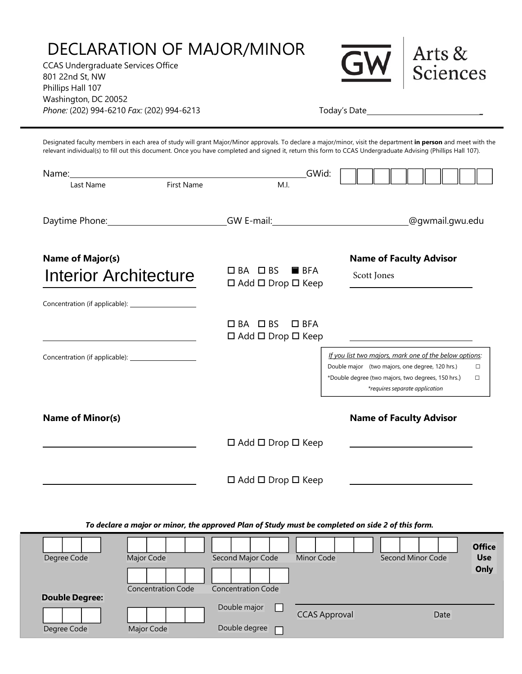## DECLARATION OF MAJOR/MINOR

CCAS Undergraduate Services Office 801 22nd St, NW Phillips Hall 107 Washington, DC 20052 *Phone:* (202) 994-6210 *Fax:* (202) 994-6213 Today's Date \_



Designated faculty members in each area of study will grant Major/Minor approvals. To declare a major/minor, visit the department **in person** and meet with the relevant individual(s) to fill out this document. Once you have completed and signed it, return this form to CCAS Undergraduate Advising (Phillips Hall 107).

| Name: when the contract of the contract of the contract of the contract of the contract of the contract of the contract of the contract of the contract of the contract of the contract of the contract of the contract of the | GWid:                                                                   |                                                                                                                           |  |
|--------------------------------------------------------------------------------------------------------------------------------------------------------------------------------------------------------------------------------|-------------------------------------------------------------------------|---------------------------------------------------------------------------------------------------------------------------|--|
| First Name<br>Last Name                                                                                                                                                                                                        | M.I.                                                                    |                                                                                                                           |  |
| Daytime Phone: _________________________________GW E-mail: _____________________                                                                                                                                               |                                                                         | @gwmail.gwu.edu                                                                                                           |  |
| <b>Name of Major(s)</b>                                                                                                                                                                                                        |                                                                         | <b>Name of Faculty Advisor</b>                                                                                            |  |
| Interior Architecture                                                                                                                                                                                                          | $\Box$ BA $\Box$ BS<br>$B$ BFA<br>$\Box$ Add $\Box$ Drop $\Box$ Keep    | Scott Jones                                                                                                               |  |
|                                                                                                                                                                                                                                |                                                                         |                                                                                                                           |  |
|                                                                                                                                                                                                                                | $\Box$ BA $\Box$ BS<br>$\Box$ BFA<br>$\Box$ Add $\Box$ Drop $\Box$ Keep |                                                                                                                           |  |
|                                                                                                                                                                                                                                |                                                                         | If you list two majors, mark one of the below options:                                                                    |  |
|                                                                                                                                                                                                                                |                                                                         | Double major (two majors, one degree, 120 hrs.)<br>$\Box$<br>*Double degree (two majors, two degrees, 150 hrs.)<br>$\Box$ |  |
|                                                                                                                                                                                                                                |                                                                         | *requires separate application                                                                                            |  |
| <b>Name of Minor(s)</b>                                                                                                                                                                                                        | $\Box$ Add $\Box$ Drop $\Box$ Keep                                      | <b>Name of Faculty Advisor</b>                                                                                            |  |
|                                                                                                                                                                                                                                | $\Box$ Add $\Box$ Drop $\Box$ Keep                                      |                                                                                                                           |  |
| To declare a major or minor, the approved Plan of Study must be completed on side 2 of this form.                                                                                                                              |                                                                         |                                                                                                                           |  |
| Degree Code<br>Major Code                                                                                                                                                                                                      | Second Major Code<br><b>Minor Code</b>                                  | <b>Office</b><br>Second Minor Code<br><b>Use</b>                                                                          |  |
| <b>Concentration Code</b>                                                                                                                                                                                                      | <b>Concentration Code</b>                                               | Only                                                                                                                      |  |
| <b>Double Degree:</b>                                                                                                                                                                                                          | Double major                                                            |                                                                                                                           |  |
|                                                                                                                                                                                                                                |                                                                         | <b>CCAS Approval</b><br>Date                                                                                              |  |